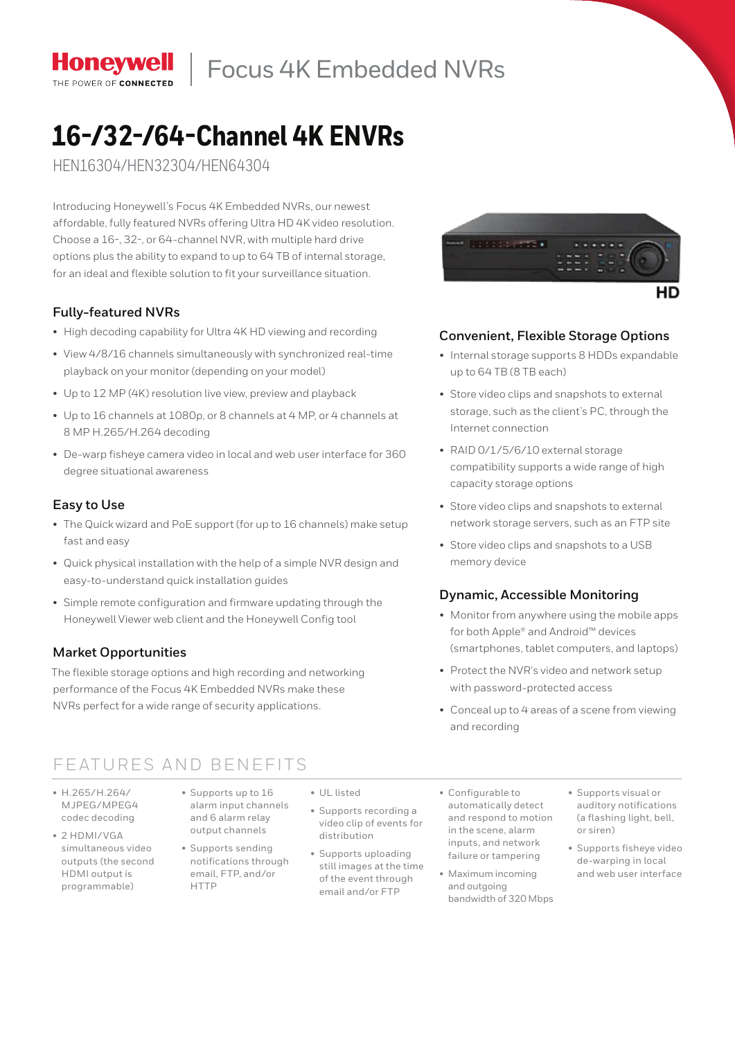Focus 4K Embedded NVRs

# **16-/32-/64-Channel 4K ENVRs**

HEN16304/HEN32304/HEN64304

Introducing Honeywell's Focus 4K Embedded NVRs, our newest affordable, fully featured NVRs offering Ultra HD 4K video resolution. Choose a 16-, 32-, or 64-channel nVr, with multiple hard drive options plus the ability to expand to up to 64 TB of internal storage. for an ideal and flexible solution to fit your surveillance situation.

## **Fully-featured NVRs**

- High decoding capability for Ultra 4K HD viewing and recording
- • View 4/8/16 channels simultaneously with synchronized real-time playback on your monitor (depending on your model)
- Up to 12 MP (4K) resolution live view, preview and playback
- Up to 16 channels at 1080p, or 8 channels at 4 MP, or 4 channels at 8 MP H.265/H.264 decoding
- De-warp fisheye camera video in local and web user interface for 360 degree situational awareness

## **Easy to Use**

- The Quick wizard and PoE support (for up to 16 channels) make setup fast and easy
- Quick physical installation with the help of a simple NVR design and easy-to-understand quick installation guides
- Simple remote configuration and firmware updating through the Honeywell Viewer web client and the Honeywell Config tool

# **Market Opportunities**

The flexible storage options and high recording and networking performance of the Focus 4K Embedded NVRs make these NVRs perfect for a wide range of security applications.

# Features and BeneFits

- • H.265/H.264/ MJPEG/MPEG4 codec decoding
- 2 HDMI/VGA simultaneous video outputs (the second HDMI output is programmable)
- • Supports up to 16 alarm input channels and 6 alarm relay output channels
	- • Supports sending notifications through email, FTP, and/or HTTP
- • UL listed
	- Supports recording a video clip of events for distribution
	- • Supports uploading still images at the time of the event through email and/or FTP

*UNION CARDS* 

### **Convenient, Flexible Storage Options**

- Internal storage supports 8 HDDs expandable up to 64 TB (8 TB each)
- Store video clips and snapshots to external storage, such as the client's PC, through the internet connection
- RAID 0/1/5/6/10 external storage compatibility supports a wide range of high capacity storage options
- Store video clips and snapshots to external network storage servers, such as an FtP site
- Store video clips and snapshots to a USB memory device

### **Dynamic, Accessible Monitoring**

- Monitor from anywhere using the mobile apps for both Apple® and Android™ devices (smartphones, tablet computers, and laptops)
- Protect the NVR's video and network setup with password-protected access
- • Conceal up to 4 areas of a scene from viewing and recording
- • Configurable to automatically detect and respond to motion in the scene, alarm inputs, and network failure or tampering
- • Maximum incoming and outgoing bandwidth of 320 Mbps
- • Supports visual or auditory notifications (a flashing light, bell, or siren)
- • Supports fisheye video de-warping in local and web user interface



**Honevwell** THE POWER OF CONNECTED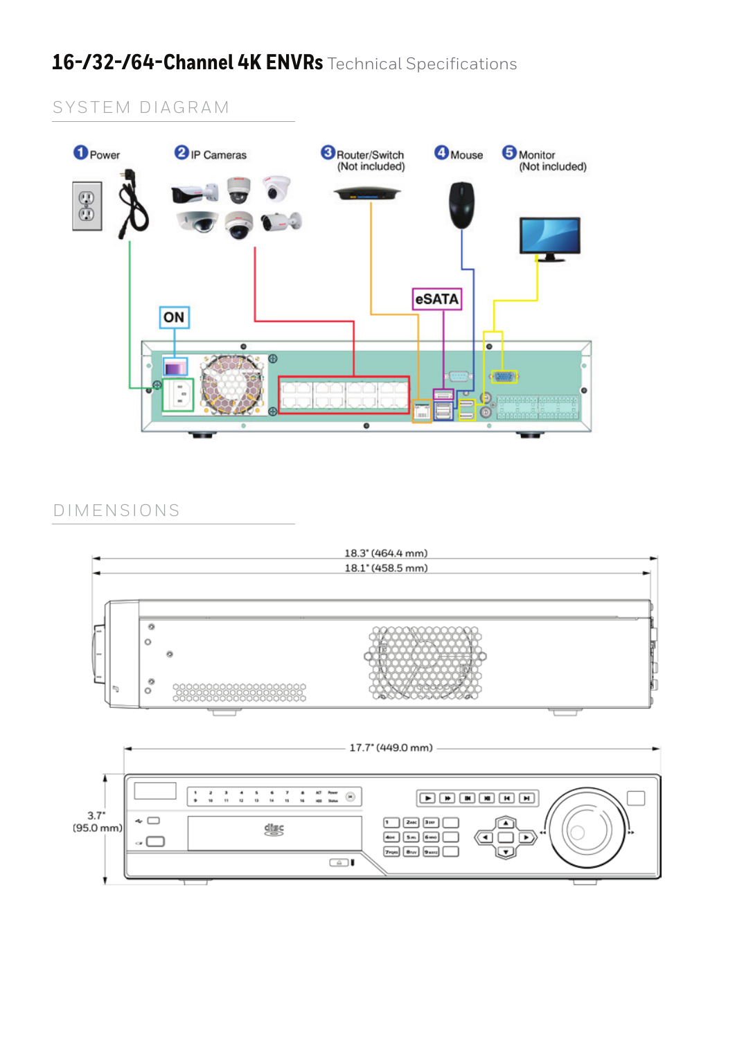# 16-/32-/64-Channel 4K ENVRs Technical Specifications

# SYSTEM DIAGRAM



# DIMENSIONS

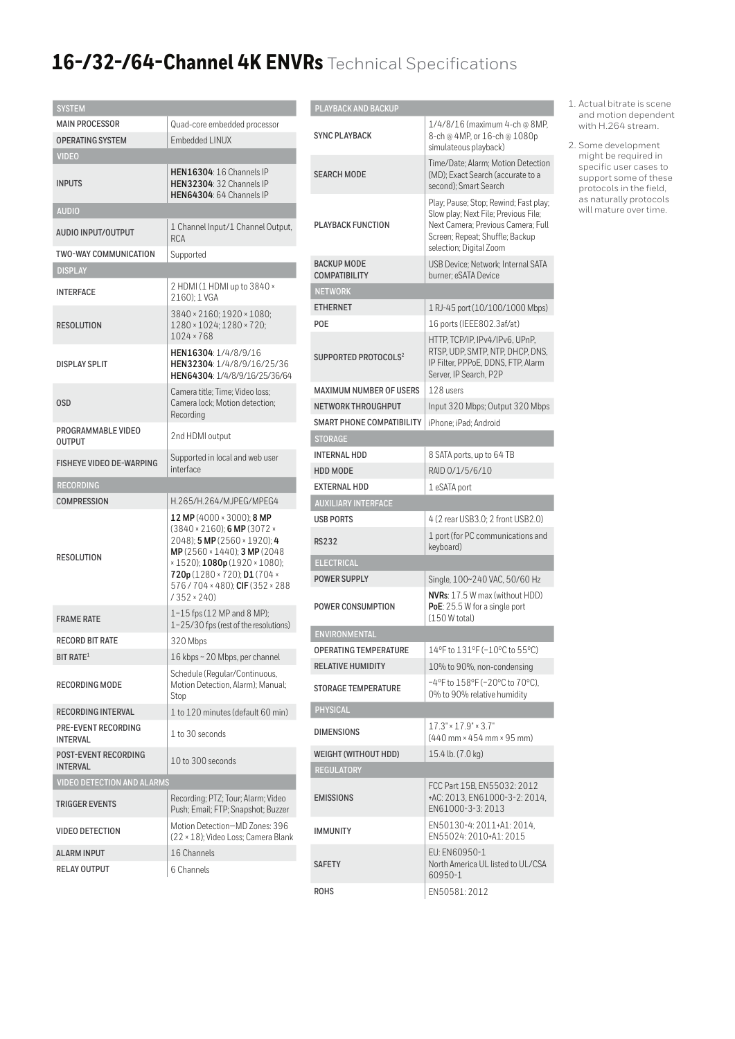# 16-/32-/64-Channel 4K ENVRs Technical Specifications

| <b>SYSTEM</b>                                  |                                                                                                                                                                                                                                                                         |
|------------------------------------------------|-------------------------------------------------------------------------------------------------------------------------------------------------------------------------------------------------------------------------------------------------------------------------|
| <b>MAIN PROCESSOR</b>                          | Quad-core embedded processor                                                                                                                                                                                                                                            |
| <b>OPERATING SYSTEM</b>                        | Embedded LINUX                                                                                                                                                                                                                                                          |
| <b>VIDEO</b>                                   |                                                                                                                                                                                                                                                                         |
| <b>INPUTS</b>                                  | <b>HEN16304: 16 Channels IP</b><br><b>HEN32304: 32 Channels IP</b><br>HEN64304: 64 Channels IP                                                                                                                                                                          |
| <b>AUDIO</b>                                   |                                                                                                                                                                                                                                                                         |
| <b>AUDIO INPUT/OUTPUT</b>                      | 1 Channel Input/1 Channel Output,<br><b>RCA</b>                                                                                                                                                                                                                         |
| <b>TWO-WAY COMMUNICATION</b>                   | Supported                                                                                                                                                                                                                                                               |
| <b>DISPLAY</b>                                 |                                                                                                                                                                                                                                                                         |
| <b>INTERFACE</b>                               | 2 HDMI (1 HDMI up to 3840 ×<br>2160): 1 VGA                                                                                                                                                                                                                             |
| <b>RESOLUTION</b>                              | 3840 × 2160; 1920 × 1080;<br>1280 × 1024; 1280 × 720;<br>$1024 \times 768$                                                                                                                                                                                              |
| <b>DISPLAY SPLIT</b>                           | HEN16304: 1/4/8/9/16<br>HEN32304: 1/4/8/9/16/25/36<br>HEN64304: 1/4/8/9/16/25/36/64                                                                                                                                                                                     |
| <b>OSD</b>                                     | Camera title: Time: Video loss:<br>Camera lock; Motion detection;<br>Recording                                                                                                                                                                                          |
| PROGRAMMABLE VIDEO<br><b>OUTPUT</b>            | 2nd HDMI output                                                                                                                                                                                                                                                         |
| <b>FISHEYE VIDEO DE-WARPING</b>                | Supported in local and web user<br>interface                                                                                                                                                                                                                            |
| <b>RECORDING</b>                               |                                                                                                                                                                                                                                                                         |
| <b>COMPRESSION</b>                             | H.265/H.264/MJPEG/MPEG4                                                                                                                                                                                                                                                 |
| <b>RESOLUTION</b>                              | 12 MP (4000 $\times$ 3000); 8 MP<br>$(3840 \times 2160)$ ; 6 MP $(3072 \times$<br>2048); 5 MP (2560 × 1920); 4<br>MP (2560 × 1440); 3 MP (2048<br>×1520); 1080p (1920 × 1080);<br>720p (1280 × 720); D1 (704 ×<br>576 / 704 × 480); CIF (352 × 288<br>$/352 \times 240$ |
| <b>FRAME RATE</b>                              | 1-15 fps (12 MP and 8 MP);<br>1-25/30 fps (rest of the resolutions)                                                                                                                                                                                                     |
| <b>RECORD BIT RATE</b>                         | 320 Mbps                                                                                                                                                                                                                                                                |
| BIT RATE <sup>1</sup>                          | 16 kbps ~ 20 Mbps, per channel                                                                                                                                                                                                                                          |
| <b>RECORDING MODE</b>                          | Schedule (Regular/Continuous,<br>Motion Detection, Alarm); Manual;<br>Stop                                                                                                                                                                                              |
| <b>RECORDING INTERVAL</b>                      | 1 to 120 minutes (default 60 min)                                                                                                                                                                                                                                       |
| <b>PRE-EVENT RECORDING</b><br><b>INTERVAL</b>  | 1 to 30 seconds                                                                                                                                                                                                                                                         |
| <b>POST-EVENT RECORDING</b><br><b>INTERVAL</b> | 10 to 300 seconds                                                                                                                                                                                                                                                       |
| <b>VIDEO DETECTION AND ALARMS</b>              |                                                                                                                                                                                                                                                                         |
| <b>TRIGGER EVENTS</b>                          | Recording; PTZ; Tour; Alarm; Video<br>Push; Email; FTP; Snapshot; Buzzer                                                                                                                                                                                                |
| <b>VIDEO DETECTION</b>                         | Motion Detection-MD Zones: 396<br>(22 × 18); Video Loss; Camera Blank                                                                                                                                                                                                   |
| <b>ALARM INPUT</b>                             | 16 Channels                                                                                                                                                                                                                                                             |
| <b>RELAY OUTPUT</b>                            | 6 Channels                                                                                                                                                                                                                                                              |

### **PLAYBACK AND BACKUP**

| <b>PLAYBACK AND BACKUP</b>                 |                                                                                                                                                                                   |  |  |
|--------------------------------------------|-----------------------------------------------------------------------------------------------------------------------------------------------------------------------------------|--|--|
| <b>SYNC PLAYBACK</b>                       | 1/4/8/16 (maximum 4-ch @ 8MP,<br>8-ch @ 4MP, or 16-ch @ 1080p<br>simulateous playback)                                                                                            |  |  |
| <b>SEARCH MODE</b>                         | Time/Date; Alarm; Motion Detection<br>(MD): Exact Search (accurate to a<br>second); Smart Search                                                                                  |  |  |
| <b>PLAYBACK FUNCTION</b>                   | Play; Pause; Stop; Rewind; Fast play;<br>Slow play; Next File; Previous File;<br>Next Camera; Previous Camera; Full<br>Screen; Repeat; Shuffle; Backup<br>selection; Digital Zoom |  |  |
| <b>BACKUP MODE</b><br><b>COMPATIBILITY</b> | USB Device: Network: Internal SATA<br>burner; eSATA Device                                                                                                                        |  |  |
| <b>NETWORK</b>                             |                                                                                                                                                                                   |  |  |
| <b>ETHERNET</b>                            | 1 RJ-45 port (10/100/1000 Mbps)                                                                                                                                                   |  |  |
| POE                                        | 16 ports (IEEE802.3af/at)                                                                                                                                                         |  |  |
| SUPPORTED PROTOCOLS <sup>2</sup>           | HTTP. TCP/IP. IPv4/IPv6. UPnP.<br>RTSP, UDP, SMTP, NTP, DHCP, DNS,<br>IP Filter, PPPoE, DDNS, FTP, Alarm<br>Server, IP Search, P2P                                                |  |  |
| <b>MAXIMUM NUMBER OF USERS</b>             | 128 users                                                                                                                                                                         |  |  |
| <b>NETWORK THROUGHPUT</b>                  | Input 320 Mbps; Output 320 Mbps                                                                                                                                                   |  |  |
| <b>SMART PHONE COMPATIBILITY</b>           | iPhone; iPad; Android                                                                                                                                                             |  |  |
| <b>STORAGE</b>                             |                                                                                                                                                                                   |  |  |
| <b>INTERNAL HDD</b>                        | 8 SATA ports, up to 64 TB                                                                                                                                                         |  |  |
| <b>HDD MODE</b>                            | RAID 0/1/5/6/10                                                                                                                                                                   |  |  |
| <b>EXTERNAL HDD</b>                        | 1 eSATA port                                                                                                                                                                      |  |  |
| <b>AUXILIARY INTERFACE</b>                 |                                                                                                                                                                                   |  |  |
| <b>USB PORTS</b>                           | 4 (2 rear USB3.0; 2 front USB2.0)                                                                                                                                                 |  |  |
| <b>RS232</b>                               | 1 port (for PC communications and<br>keyboard)                                                                                                                                    |  |  |
| <b>ELECTRICAL</b>                          |                                                                                                                                                                                   |  |  |
| <b>POWER SUPPLY</b>                        | Single, 100~240 VAC, 50/60 Hz                                                                                                                                                     |  |  |
| POWER CONSUMPTION                          | NVRs: 17.5 W max (without HDD)<br>PoE: 25.5 W for a single port<br>(150 W total)                                                                                                  |  |  |
| ENVIRONMENTAL                              |                                                                                                                                                                                   |  |  |
| <b>OPFRATING TEMPERATURE</b>               | 14°F to 131°F (-10°C to 55°C)                                                                                                                                                     |  |  |
| <b>RELATIVE HUMIDITY</b>                   | 10% to 90%, non-condensing                                                                                                                                                        |  |  |
| <b>STORAGE TEMPERATURE</b>                 | -4°F to 158°F (-20°C to 70°C).<br>0% to 90% relative humidity                                                                                                                     |  |  |
| <b>PHYSICAL</b>                            |                                                                                                                                                                                   |  |  |
| <b>DIMENSIONS</b>                          | $17.3" \times 17.9" \times 3.7"$<br>(440 mm × 454 mm × 95 mm)                                                                                                                     |  |  |
| WEIGHT (WITHOUT HDD)                       | 15.4 lb. (7.0 kg)                                                                                                                                                                 |  |  |
| <b>REGULATORY</b>                          |                                                                                                                                                                                   |  |  |
| <b>EMISSIONS</b>                           | FCC Part 15B, EN55032: 2012<br>+AC: 2013, EN61000-3-2: 2014,<br>EN61000-3-3: 2013                                                                                                 |  |  |
| <b>IMMUNITY</b>                            | EN50130-4: 2011+A1: 2014,<br>EN55024: 2010+A1: 2015                                                                                                                               |  |  |
| <b>SAFETY</b>                              | EU: EN60950-1<br>North America UL listed to UL/CSA<br>60950-1                                                                                                                     |  |  |
| <b>ROHS</b>                                | EN50581:2012                                                                                                                                                                      |  |  |

1. actual bitrate is scene and motion dependent with H.264 stream.

2. some development might be required in specific user cases to support some of these protocols in the field, as naturally protocols will mature over time.